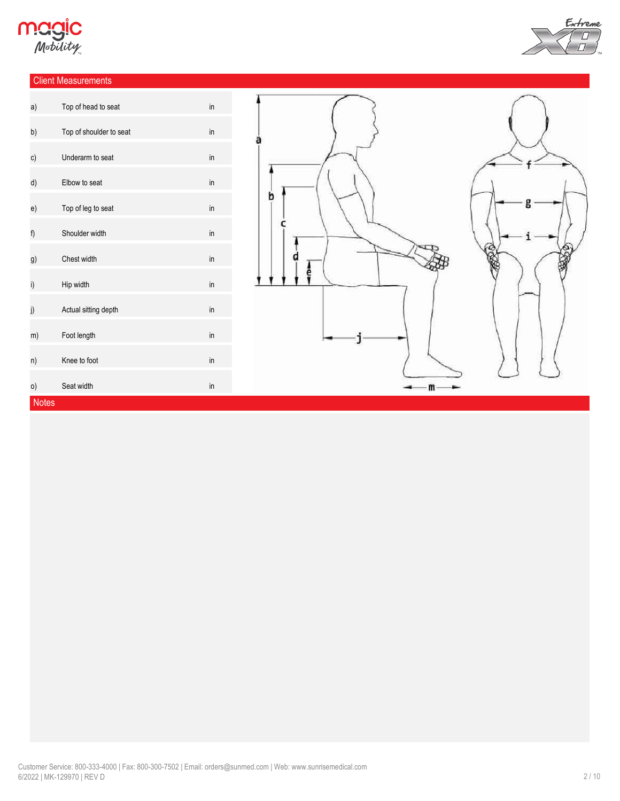

### Client Measurements



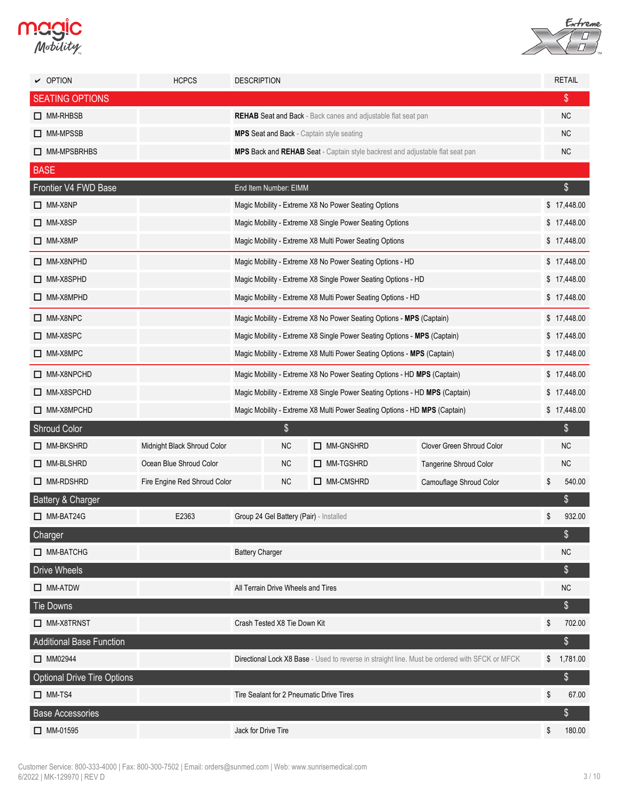



| $\vee$ OPTION                      | <b>HCPCS</b>                 | <b>DESCRIPTION</b>                                                          |                                                                               |                                                              |                                                                                                |    | <b>RETAIL</b> |  |
|------------------------------------|------------------------------|-----------------------------------------------------------------------------|-------------------------------------------------------------------------------|--------------------------------------------------------------|------------------------------------------------------------------------------------------------|----|---------------|--|
| <b>SEATING OPTIONS</b>             |                              |                                                                             |                                                                               |                                                              |                                                                                                |    | \$            |  |
| $\Box$ MM-RHBSB                    |                              | <b>REHAB Seat and Back</b> - Back canes and adjustable flat seat pan        |                                                                               |                                                              |                                                                                                |    |               |  |
| □ MM-MPSSB                         |                              |                                                                             | <b>MPS Seat and Back - Captain style seating</b>                              |                                                              |                                                                                                |    |               |  |
| MM-MPSBRHBS                        |                              |                                                                             | MPS Back and REHAB Seat - Captain style backrest and adjustable flat seat pan |                                                              |                                                                                                |    |               |  |
| <b>BASE</b>                        |                              |                                                                             |                                                                               |                                                              |                                                                                                |    |               |  |
| Frontier V4 FWD Base               |                              |                                                                             | End Item Number: EIMM                                                         |                                                              |                                                                                                |    | $\frac{1}{2}$ |  |
| $\Box$ MM-X8NP                     |                              |                                                                             |                                                                               | Magic Mobility - Extreme X8 No Power Seating Options         |                                                                                                |    | \$17,448.00   |  |
| $\Box$ MM-X8SP                     |                              |                                                                             | Magic Mobility - Extreme X8 Single Power Seating Options                      |                                                              |                                                                                                |    |               |  |
| $\Box$ MM-X8MP                     |                              |                                                                             | Magic Mobility - Extreme X8 Multi Power Seating Options                       |                                                              |                                                                                                |    |               |  |
| $\Box$ MM-X8NPHD                   |                              |                                                                             | Magic Mobility - Extreme X8 No Power Seating Options - HD                     |                                                              |                                                                                                |    |               |  |
| $\Box$ MM-X8SPHD                   |                              | Magic Mobility - Extreme X8 Single Power Seating Options - HD               |                                                                               | \$17,448.00                                                  |                                                                                                |    |               |  |
| $\Box$ MM-X8MPHD                   |                              |                                                                             |                                                                               | Magic Mobility - Extreme X8 Multi Power Seating Options - HD |                                                                                                |    | \$17,448.00   |  |
| MM-X8NPC                           |                              | Magic Mobility - Extreme X8 No Power Seating Options - MPS (Captain)        |                                                                               | \$17,448.00                                                  |                                                                                                |    |               |  |
| $\Box$ MM-X8SPC                    |                              | Magic Mobility - Extreme X8 Single Power Seating Options - MPS (Captain)    |                                                                               |                                                              |                                                                                                |    |               |  |
| $\Box$ MM-X8MPC                    |                              | Magic Mobility - Extreme X8 Multi Power Seating Options - MPS (Captain)     |                                                                               | \$17,448.00                                                  |                                                                                                |    |               |  |
| MM-X8NPCHD                         |                              | Magic Mobility - Extreme X8 No Power Seating Options - HD MPS (Captain)     |                                                                               | \$17,448.00                                                  |                                                                                                |    |               |  |
| $\Box$ MM-X8SPCHD                  |                              | Magic Mobility - Extreme X8 Single Power Seating Options - HD MPS (Captain) |                                                                               | \$17,448.00                                                  |                                                                                                |    |               |  |
| MM-X8MPCHD                         |                              | Magic Mobility - Extreme X8 Multi Power Seating Options - HD MPS (Captain)  |                                                                               |                                                              |                                                                                                |    |               |  |
| Shroud Color                       |                              |                                                                             | \$                                                                            |                                                              |                                                                                                |    | \$            |  |
| $\Box$ MM-BKSHRD                   | Midnight Black Shroud Color  |                                                                             | <b>NC</b>                                                                     | MM-GNSHRD                                                    | Clover Green Shroud Color                                                                      |    | NC            |  |
| MM-BLSHRD                          | Ocean Blue Shroud Color      |                                                                             | NC.                                                                           | $\Box$ MM-TGSHRD                                             | Tangerine Shroud Color                                                                         |    | NC            |  |
| MM-RDSHRD                          | Fire Engine Red Shroud Color |                                                                             | <b>NC</b>                                                                     | MM-CMSHRD                                                    | Camouflage Shroud Color                                                                        | \$ | 540.00        |  |
| Battery & Charger                  |                              |                                                                             |                                                                               |                                                              |                                                                                                |    | \$            |  |
| $\Box$ MM-BAT24G                   | E2363                        |                                                                             | Group 24 Gel Battery (Pair) - Installed                                       |                                                              |                                                                                                | \$ | 932.00        |  |
| Charger                            |                              |                                                                             |                                                                               |                                                              |                                                                                                |    | \$            |  |
| MM-BATCHG                          |                              | <b>Battery Charger</b>                                                      |                                                                               |                                                              |                                                                                                |    | <b>NC</b>     |  |
| <b>Drive Wheels</b>                |                              |                                                                             |                                                                               |                                                              |                                                                                                |    | \$            |  |
| $\Box$ MM-ATDW                     |                              |                                                                             | All Terrain Drive Wheels and Tires                                            |                                                              |                                                                                                |    | <b>NC</b>     |  |
| Tie Downs                          |                              |                                                                             |                                                                               |                                                              |                                                                                                |    | \$            |  |
| MM-X8TRNST                         |                              |                                                                             | Crash Tested X8 Tie Down Kit                                                  |                                                              |                                                                                                | \$ | 702.00        |  |
| <b>Additional Base Function</b>    |                              |                                                                             |                                                                               |                                                              |                                                                                                |    | \$            |  |
| MM02944                            |                              |                                                                             |                                                                               |                                                              | Directional Lock X8 Base - Used to reverse in straight line. Must be ordered with SFCK or MFCK |    | \$1,781.00    |  |
| <b>Optional Drive Tire Options</b> |                              |                                                                             |                                                                               |                                                              |                                                                                                |    | \$            |  |
| $\Box$ MM-TS4                      |                              |                                                                             |                                                                               | Tire Sealant for 2 Pneumatic Drive Tires                     |                                                                                                | \$ | 67.00         |  |
| <b>Base Accessories</b>            |                              |                                                                             |                                                                               |                                                              |                                                                                                |    | \$            |  |
| $\Box$ MM-01595                    |                              | Jack for Drive Tire                                                         |                                                                               |                                                              |                                                                                                | \$ | 180.00        |  |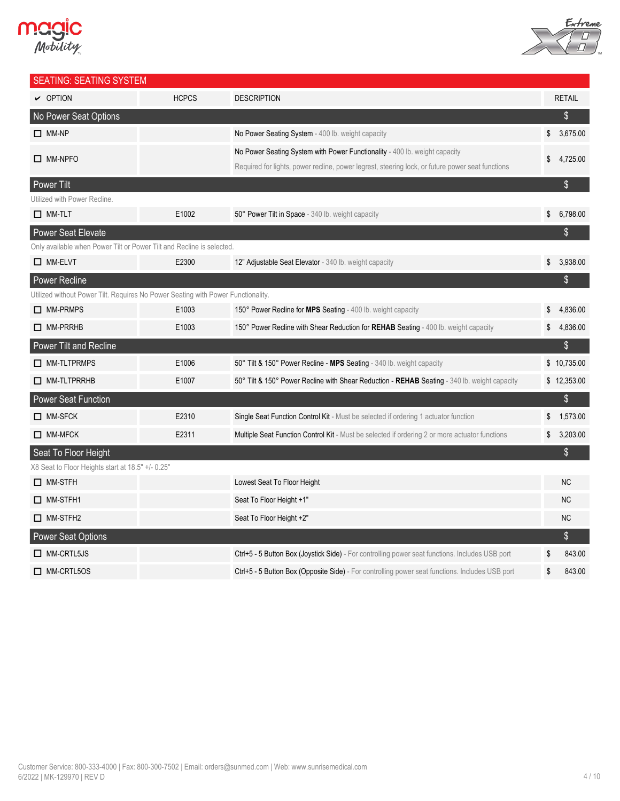



| <b>SEATING: SEATING SYSTEM</b>                                                   |              |                                                                                                  |              |               |
|----------------------------------------------------------------------------------|--------------|--------------------------------------------------------------------------------------------------|--------------|---------------|
| $\sim$ OPTION                                                                    | <b>HCPCS</b> | <b>DESCRIPTION</b>                                                                               |              | <b>RETAIL</b> |
| No Power Seat Options                                                            |              |                                                                                                  |              | \$            |
| $\Box$ MM-NP                                                                     |              | No Power Seating System - 400 lb. weight capacity                                                | \$           | 3,675.00      |
| $\Box$ MM-NPFO                                                                   |              | No Power Seating System with Power Functionality - 400 lb. weight capacity                       | \$           | 4,725.00      |
|                                                                                  |              | Required for lights, power recline, power legrest, steering lock, or future power seat functions |              |               |
| <b>Power Tilt</b>                                                                |              |                                                                                                  |              | \$            |
| Utilized with Power Recline.                                                     |              |                                                                                                  |              |               |
| $\Box$ MM-TLT                                                                    | E1002        | 50° Power Tilt in Space - 340 lb. weight capacity                                                | \$           | 6,798.00      |
| <b>Power Seat Elevate</b>                                                        |              |                                                                                                  |              | \$            |
| Only available when Power Tilt or Power Tilt and Recline is selected.            |              |                                                                                                  |              |               |
| $\Box$ MM-ELVT                                                                   | E2300        | 12" Adjustable Seat Elevator - 340 lb. weight capacity                                           | $\mathbb{S}$ | 3,938.00      |
| Power Recline                                                                    |              |                                                                                                  |              | \$            |
| Utilized without Power Tilt. Requires No Power Seating with Power Functionality. |              |                                                                                                  |              |               |
| $\Box$ MM-PRMPS                                                                  | E1003        | 150° Power Recline for MPS Seating - 400 lb. weight capacity                                     | \$           | 4,836.00      |
| $\Box$ MM-PRRHB                                                                  | E1003        | 150° Power Recline with Shear Reduction for REHAB Seating - 400 lb. weight capacity              | \$           | 4,836.00      |
| Power Tilt and Recline                                                           |              |                                                                                                  |              | \$            |
| MM-TLTPRMPS                                                                      | E1006        | 50° Tilt & 150° Power Recline - MPS Seating - 340 lb. weight capacity                            |              | \$10,735.00   |
| $\Box$ MM-TLTPRRHB                                                               | E1007        | 50° Tilt & 150° Power Recline with Shear Reduction - REHAB Seating - 340 lb. weight capacity     |              | \$12,353.00   |
| <b>Power Seat Function</b>                                                       |              |                                                                                                  |              | \$            |
| $\Box$ MM-SFCK                                                                   | E2310        | Single Seat Function Control Kit - Must be selected if ordering 1 actuator function              | \$           | 1,573.00      |
| $\Box$ MM-MFCK                                                                   | E2311        | Multiple Seat Function Control Kit - Must be selected if ordering 2 or more actuator functions   | \$           | 3,203.00      |
| Seat To Floor Height                                                             |              |                                                                                                  |              | \$            |
| X8 Seat to Floor Heights start at 18.5" +/- 0.25"                                |              |                                                                                                  |              |               |
| $\Box$ MM-STFH                                                                   |              | Lowest Seat To Floor Height                                                                      |              | <b>NC</b>     |
| $\Box$ MM-STFH1                                                                  |              | Seat To Floor Height +1"                                                                         |              | <b>NC</b>     |
| $\Box$ MM-STFH2                                                                  |              | Seat To Floor Height +2"                                                                         |              | <b>NC</b>     |
| Power Seat Options                                                               |              |                                                                                                  |              | $\$\$         |
| $\Box$ MM-CRTL5JS                                                                |              | Ctrl+5 - 5 Button Box (Joystick Side) - For controlling power seat functions. Includes USB port  | S            | 843.00        |
| $\Box$ MM-CRTL5OS                                                                |              | Ctrl+5 - 5 Button Box (Opposite Side) - For controlling power seat functions. Includes USB port  | \$           | 843.00        |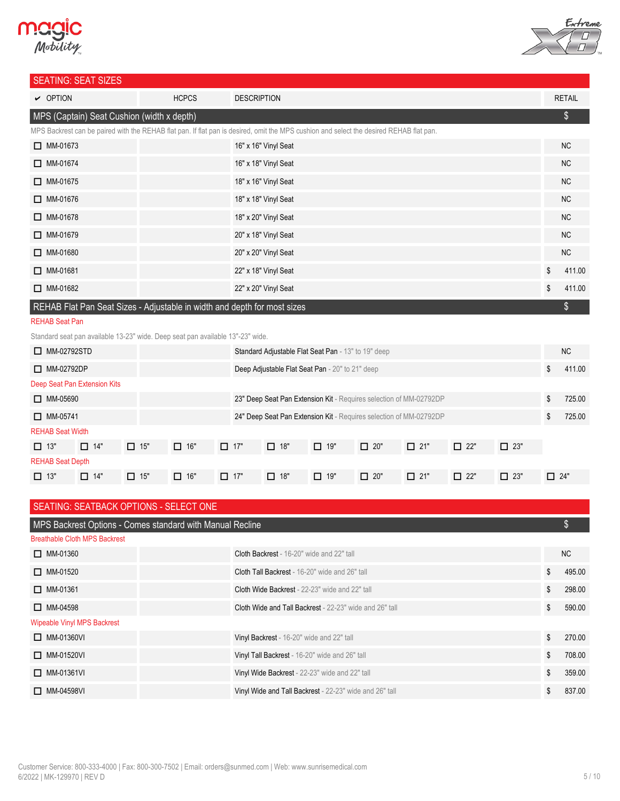# **MCgic**<br>Mobility



### SEATING: SEAT SIZES

| <u> JL, 111110: JL, 11 JILLU</u>                                                                                                        |              |                      |    |               |  |  |  |  |
|-----------------------------------------------------------------------------------------------------------------------------------------|--------------|----------------------|----|---------------|--|--|--|--|
| $\triangleright$ OPTION                                                                                                                 | <b>HCPCS</b> | <b>DESCRIPTION</b>   |    | <b>RETAIL</b> |  |  |  |  |
| MPS (Captain) Seat Cushion (width x depth)                                                                                              |              |                      |    |               |  |  |  |  |
| MPS Backrest can be paired with the REHAB flat pan. If flat pan is desired, omit the MPS cushion and select the desired REHAB flat pan. |              |                      |    |               |  |  |  |  |
| $\Box$ MM-01673                                                                                                                         |              | 16" x 16" Vinyl Seat |    | <b>NC</b>     |  |  |  |  |
| $\Box$ MM-01674                                                                                                                         |              | 16" x 18" Vinyl Seat |    | <b>NC</b>     |  |  |  |  |
| $\Box$ MM-01675                                                                                                                         |              | 18" x 16" Vinyl Seat |    | <b>NC</b>     |  |  |  |  |
| $\Box$ MM-01676                                                                                                                         |              | 18" x 18" Vinyl Seat |    | <b>NC</b>     |  |  |  |  |
| $\Box$ MM-01678                                                                                                                         |              | 18" x 20" Vinyl Seat |    | <b>NC</b>     |  |  |  |  |
| $\Box$ MM-01679                                                                                                                         |              | 20" x 18" Vinyl Seat |    | <b>NC</b>     |  |  |  |  |
| $\Box$ MM-01680                                                                                                                         |              | 20" x 20" Vinyl Seat |    | <b>NC</b>     |  |  |  |  |
| $\Box$ MM-01681                                                                                                                         |              | 22" x 18" Vinyl Seat | \$ | 411.00        |  |  |  |  |
| $\Box$ MM-01682                                                                                                                         |              | 22" x 20" Vinyl Seat | \$ | 411.00        |  |  |  |  |
| REHAB Flat Pan Seat Sizes - Adjustable in width and depth for most sizes                                                                |              |                      |    |               |  |  |  |  |

#### REHAB Seat Pan

Standard seat pan available 13-23" wide. Deep seat pan available 13"-23" wide.

| $\Box$ MM-02792STD           |            |            |            |            |                                                 | Standard Adjustable Flat Seat Pan - 13" to 19" deep                |            |            |            |            |            | <b>NC</b> |
|------------------------------|------------|------------|------------|------------|-------------------------------------------------|--------------------------------------------------------------------|------------|------------|------------|------------|------------|-----------|
| $\Box$ MM-02792DP            |            |            |            |            | Deep Adjustable Flat Seat Pan - 20" to 21" deep |                                                                    |            |            |            |            | \$         | 411.00    |
| Deep Seat Pan Extension Kits |            |            |            |            |                                                 |                                                                    |            |            |            |            |            |           |
| $\Box$ MM-05690              |            |            |            |            |                                                 | 23" Deep Seat Pan Extension Kit - Requires selection of MM-02792DP |            |            |            |            | \$         | 725.00    |
| $\Box$ MM-05741              |            |            |            |            |                                                 | 24" Deep Seat Pan Extension Kit - Requires selection of MM-02792DP |            |            |            |            | \$         | 725.00    |
| <b>REHAB Seat Width</b>      |            |            |            |            |                                                 |                                                                    |            |            |            |            |            |           |
| $\Box$ 13"                   | $\Box$ 14" | $\Box$ 15" | $\Box$ 16" | $\Box$ 17" | $\Box$ 18"                                      | $\Box$ 19"                                                         | $\Box$ 20" | $\Box$ 21" | $\Box$ 22" | $\Box$ 23" |            |           |
| <b>REHAB Seat Depth</b>      |            |            |            |            |                                                 |                                                                    |            |            |            |            |            |           |
| $\Box$ 13"                   | $\Box$ 14" | $\Box$ 15" | $\Box$ 16" | $\Box$ 17" | $\Box$ 18"                                      | $\Box$ 19"                                                         | $\Box$ 20" | $\Box$ 21" | $\Box$ 22" | $\Box$ 23" | $\Box$ 24" |           |

| SEATING: SEATBACK OPTIONS - SELECT ONE                    |                                                                |    |        |  |  |  |  |
|-----------------------------------------------------------|----------------------------------------------------------------|----|--------|--|--|--|--|
| MPS Backrest Options - Comes standard with Manual Recline |                                                                |    |        |  |  |  |  |
| <b>Breathable Cloth MPS Backrest</b>                      |                                                                |    |        |  |  |  |  |
| $\Box$ MM-01360                                           | <b>Cloth Backrest</b> - 16-20" wide and 22" tall               |    | NC.    |  |  |  |  |
| $\Box$ MM-01520                                           | <b>Cloth Tall Backrest</b> - 16-20" wide and 26" tall          | \$ | 495.00 |  |  |  |  |
| $\Box$ MM-01361                                           | <b>Cloth Wide Backrest</b> - 22-23" wide and 22" tall          | \$ | 298.00 |  |  |  |  |
| $\Box$ MM-04598                                           | <b>Cloth Wide and Tall Backrest</b> - 22-23" wide and 26" tall | \$ | 590.00 |  |  |  |  |
| <b>Wipeable Vinyl MPS Backrest</b>                        |                                                                |    |        |  |  |  |  |
| $\Box$ MM-01360VI                                         | Vinyl Backrest - 16-20" wide and 22" tall                      | \$ | 270.00 |  |  |  |  |
| $\Box$ MM-01520VI                                         | Vinyl Tall Backrest - 16-20" wide and 26" tall                 | \$ | 708.00 |  |  |  |  |
| $\Box$ MM-01361VI                                         | Vinyl Wide Backrest - 22-23" wide and 22" tall                 | \$ | 359.00 |  |  |  |  |
| $\Box$ MM-04598VI                                         | Vinyl Wide and Tall Backrest - 22-23" wide and 26" tall        | \$ | 837.00 |  |  |  |  |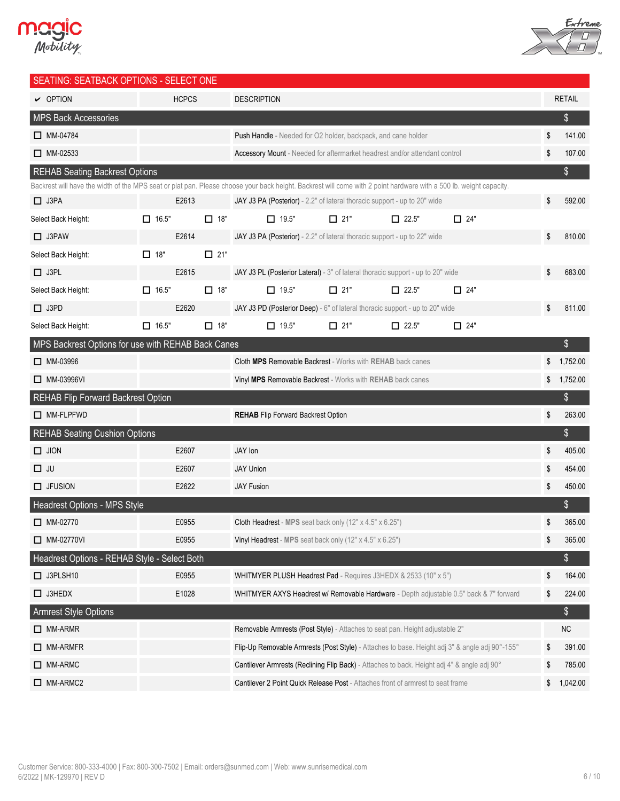



| SEATING: SEATBACK OPTIONS - SELECT ONE                                                                                                                             |              |              |                                                                                                |            |              |            |                |
|--------------------------------------------------------------------------------------------------------------------------------------------------------------------|--------------|--------------|------------------------------------------------------------------------------------------------|------------|--------------|------------|----------------|
| $\vee$ OPTION                                                                                                                                                      |              | <b>HCPCS</b> | <b>DESCRIPTION</b>                                                                             |            |              |            | <b>RETAIL</b>  |
| MPS Back Accessories                                                                                                                                               |              |              |                                                                                                |            |              |            | \$             |
| $\Box$ MM-04784                                                                                                                                                    |              |              | <b>Push Handle</b> - Needed for O2 holder, backpack, and cane holder                           |            |              |            | \$<br>141.00   |
| $\Box$ MM-02533                                                                                                                                                    |              |              | Accessory Mount - Needed for aftermarket headrest and/or attendant control                     |            |              |            | \$<br>107.00   |
| <b>REHAB Seating Backrest Options</b>                                                                                                                              |              |              |                                                                                                |            |              |            | \$             |
| Backrest will have the width of the MPS seat or plat pan. Please choose your back height. Backrest will come with 2 point hardware with a 500 lb. weight capacity. |              |              |                                                                                                |            |              |            |                |
| $\Box$ J3PA                                                                                                                                                        |              | E2613        | JAY J3 PA (Posterior) - 2.2" of lateral thoracic support - up to 20" wide                      |            |              |            | \$<br>592.00   |
| Select Back Height:                                                                                                                                                | $\Box$ 16.5" | $\Box$ 18"   | $\Box$ 19.5"                                                                                   | $\Box$ 21" | $\Box$ 22.5" | $\Box$ 24" |                |
| $\Box$ J3PAW                                                                                                                                                       |              | E2614        | JAY J3 PA (Posterior) - 2.2" of lateral thoracic support - up to 22" wide                      |            |              |            | \$<br>810.00   |
| Select Back Height:                                                                                                                                                | $\Box$ 18"   | $\Box$ 21"   |                                                                                                |            |              |            |                |
| $\Box$ J3PL                                                                                                                                                        |              | E2615        | JAY J3 PL (Posterior Lateral) - 3" of lateral thoracic support - up to 20" wide                |            |              |            | \$<br>683.00   |
| Select Back Height:                                                                                                                                                | $\Box$ 16.5" | $\Box$ 18"   | $\Box$ 19.5"                                                                                   | $\Box$ 21" | $\Box$ 22.5" | $\Box$ 24" |                |
| $\Box$ J3PD                                                                                                                                                        |              | E2620        | JAY J3 PD (Posterior Deep) - 6" of lateral thoracic support - up to 20" wide                   |            |              |            | \$<br>811.00   |
| Select Back Height:                                                                                                                                                | $\Box$ 16.5" | $\Box$ 18"   | $\Box$ 19.5"                                                                                   | $\Box$ 21" | $\Box$ 22.5" | $\Box$ 24" |                |
| MPS Backrest Options for use with REHAB Back Canes                                                                                                                 |              |              |                                                                                                |            |              |            | \$             |
| $\Box$ MM-03996                                                                                                                                                    |              |              | <b>Cloth MPS Removable Backrest - Works with REHAB back canes</b>                              |            |              |            | \$<br>1,752.00 |
| □ MM-03996VI                                                                                                                                                       |              |              | Vinyl MPS Removable Backrest - Works with REHAB back canes                                     |            |              |            | \$<br>1,752.00 |
| REHAB Flip Forward Backrest Option                                                                                                                                 |              |              |                                                                                                |            |              |            | \$             |
| MM-FLPFWD                                                                                                                                                          |              |              | <b>REHAB</b> Flip Forward Backrest Option                                                      |            |              |            | \$<br>263.00   |
| <b>REHAB Seating Cushion Options</b>                                                                                                                               |              |              |                                                                                                |            |              |            | $\frac{1}{2}$  |
| $\Box$ JION                                                                                                                                                        |              | E2607        | JAY lon                                                                                        |            |              |            | \$<br>405.00   |
| $\Box$ JU                                                                                                                                                          |              | E2607        | <b>JAY Union</b>                                                                               |            |              |            | \$<br>454.00   |
| $\Box$ JFUSION                                                                                                                                                     |              | E2622        | <b>JAY Fusion</b>                                                                              |            |              |            | \$<br>450.00   |
| Headrest Options - MPS Style                                                                                                                                       |              |              |                                                                                                |            |              |            | \$             |
| $\Box$ MM-02770                                                                                                                                                    |              | E0955        | Cloth Headrest - MPS seat back only (12" x 4.5" x 6.25")                                       |            |              |            | \$<br>365.00   |
| $\Box$ MM-02770VI                                                                                                                                                  |              | E0955        | Vinyl Headrest - MPS seat back only (12" x 4.5" x 6.25")                                       |            |              |            | \$<br>365.00   |
| Headrest Options - REHAB Style - Select Both                                                                                                                       |              |              |                                                                                                |            |              |            | \$             |
| $\Box$ J3PLSH10                                                                                                                                                    |              | E0955        | WHITMYER PLUSH Headrest Pad - Requires J3HEDX & 2533 (10" x 5")                                |            |              |            | \$<br>164.00   |
| $\Box$ J3HEDX                                                                                                                                                      |              | E1028        | WHITMYER AXYS Headrest w/ Removable Hardware - Depth adjustable 0.5" back & 7" forward         |            |              |            | \$<br>224.00   |
| <b>Armrest Style Options</b>                                                                                                                                       |              |              |                                                                                                |            |              |            | \$             |
| $\Box$ MM-ARMR                                                                                                                                                     |              |              | Removable Armrests (Post Style) - Attaches to seat pan. Height adjustable 2"                   |            |              |            | ${\sf NC}$     |
| $\Box$ MM-ARMFR                                                                                                                                                    |              |              | Flip-Up Removable Armrests (Post Style) - Attaches to base. Height adj 3" & angle adj 90°-155° |            |              |            | \$<br>391.00   |
| $\Box$ MM-ARMC                                                                                                                                                     |              |              | Cantilever Armrests (Reclining Flip Back) - Attaches to back. Height adj 4" & angle adj 90°    |            |              |            | \$<br>785.00   |
| MM-ARMC2                                                                                                                                                           |              |              | Cantilever 2 Point Quick Release Post - Attaches front of armrest to seat frame                |            |              |            | \$<br>1,042.00 |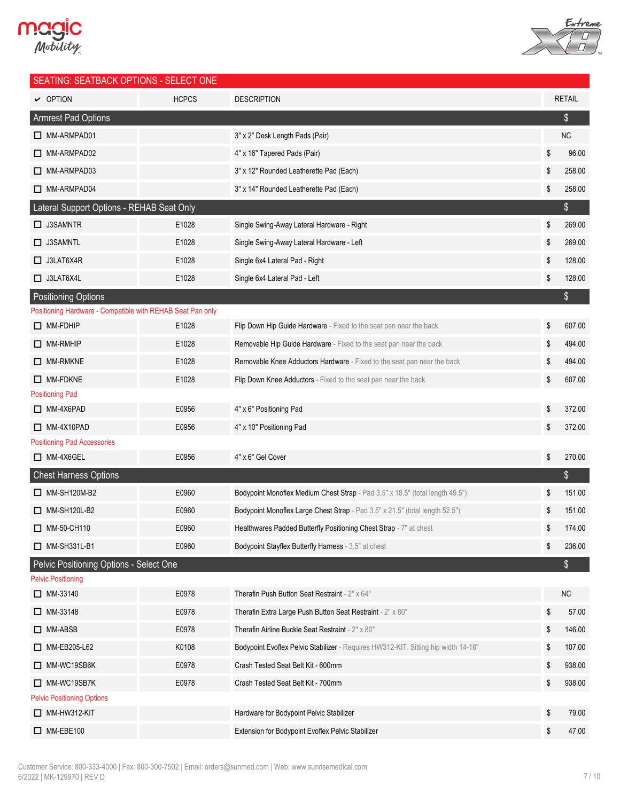



| $\sim$ OPTION<br><b>HCPCS</b><br><b>DESCRIPTION</b><br><b>RETAIL</b><br><b>Armrest Pad Options</b><br>\$<br><b>NC</b><br>MM-ARMPAD01<br>3" x 2" Desk Length Pads (Pair)<br>\$<br>MM-ARMPAD02<br>4" x 16" Tapered Pads (Pair)<br>96.00<br>MM-ARMPAD03<br>3" x 12" Rounded Leatherette Pad (Each)<br>\$<br>258.00<br>\$<br>MM-ARMPAD04<br>3" x 14" Rounded Leatherette Pad (Each)<br>258.00<br>Lateral Support Options - REHAB Seat Only<br>\$<br>\$<br>$\Box$ J3SAMNTR<br>E1028<br>Single Swing-Away Lateral Hardware - Right<br>269.00<br>$\Box$ J3SAMNTL<br>E1028<br>Single Swing-Away Lateral Hardware - Left<br>\$<br>269.00<br>\$<br>128.00<br>$\Box$ J3LAT6X4R<br>E1028<br>Single 6x4 Lateral Pad - Right | <b>SEATING: SEATBACK OPTIONS - SELECT ONE</b> |
|----------------------------------------------------------------------------------------------------------------------------------------------------------------------------------------------------------------------------------------------------------------------------------------------------------------------------------------------------------------------------------------------------------------------------------------------------------------------------------------------------------------------------------------------------------------------------------------------------------------------------------------------------------------------------------------------------------------|-----------------------------------------------|
|                                                                                                                                                                                                                                                                                                                                                                                                                                                                                                                                                                                                                                                                                                                |                                               |
|                                                                                                                                                                                                                                                                                                                                                                                                                                                                                                                                                                                                                                                                                                                |                                               |
|                                                                                                                                                                                                                                                                                                                                                                                                                                                                                                                                                                                                                                                                                                                |                                               |
|                                                                                                                                                                                                                                                                                                                                                                                                                                                                                                                                                                                                                                                                                                                |                                               |
|                                                                                                                                                                                                                                                                                                                                                                                                                                                                                                                                                                                                                                                                                                                |                                               |
|                                                                                                                                                                                                                                                                                                                                                                                                                                                                                                                                                                                                                                                                                                                |                                               |
|                                                                                                                                                                                                                                                                                                                                                                                                                                                                                                                                                                                                                                                                                                                |                                               |
|                                                                                                                                                                                                                                                                                                                                                                                                                                                                                                                                                                                                                                                                                                                |                                               |
|                                                                                                                                                                                                                                                                                                                                                                                                                                                                                                                                                                                                                                                                                                                |                                               |
|                                                                                                                                                                                                                                                                                                                                                                                                                                                                                                                                                                                                                                                                                                                |                                               |
| \$<br>$\Box$ J3LAT6X4L<br>E1028<br>Single 6x4 Lateral Pad - Left<br>128.00                                                                                                                                                                                                                                                                                                                                                                                                                                                                                                                                                                                                                                     |                                               |
| \$<br><b>Positioning Options</b>                                                                                                                                                                                                                                                                                                                                                                                                                                                                                                                                                                                                                                                                               |                                               |
| Positioning Hardware - Compatible with REHAB Seat Pan only                                                                                                                                                                                                                                                                                                                                                                                                                                                                                                                                                                                                                                                     |                                               |
| \$<br>$\Box$ MM-FDHIP<br>E1028<br>Flip Down Hip Guide Hardware - Fixed to the seat pan near the back<br>607.00                                                                                                                                                                                                                                                                                                                                                                                                                                                                                                                                                                                                 |                                               |
| \$<br>$\Box$ MM-RMHIP<br>E1028<br>Removable Hip Guide Hardware - Fixed to the seat pan near the back<br>494.00                                                                                                                                                                                                                                                                                                                                                                                                                                                                                                                                                                                                 |                                               |
| E1028<br>$\Box$ MM-RMKNE<br>Removable Knee Adductors Hardware - Fixed to the seat pan near the back<br>\$<br>494.00                                                                                                                                                                                                                                                                                                                                                                                                                                                                                                                                                                                            |                                               |
| \$<br>$\Box$ MM-FDKNE<br>E1028<br>Flip Down Knee Adductors - Fixed to the seat pan near the back<br>607.00                                                                                                                                                                                                                                                                                                                                                                                                                                                                                                                                                                                                     |                                               |
| <b>Positioning Pad</b>                                                                                                                                                                                                                                                                                                                                                                                                                                                                                                                                                                                                                                                                                         |                                               |
| $\Box$ MM-4X6PAD<br>E0956<br>4" x 6" Positioning Pad<br>\$<br>372.00                                                                                                                                                                                                                                                                                                                                                                                                                                                                                                                                                                                                                                           |                                               |
| \$<br>$\Box$ MM-4X10PAD<br>E0956<br>4" x 10" Positioning Pad<br>372.00                                                                                                                                                                                                                                                                                                                                                                                                                                                                                                                                                                                                                                         |                                               |
| <b>Positioning Pad Accessories</b>                                                                                                                                                                                                                                                                                                                                                                                                                                                                                                                                                                                                                                                                             |                                               |
| 4" x 6" Gel Cover<br>\$<br>$\Box$ MM-4X6GEL<br>E0956<br>270.00                                                                                                                                                                                                                                                                                                                                                                                                                                                                                                                                                                                                                                                 |                                               |
| \$<br><b>Chest Harness Options</b>                                                                                                                                                                                                                                                                                                                                                                                                                                                                                                                                                                                                                                                                             |                                               |
| $\Box$ MM-SH120M-B2<br>E0960<br>Bodypoint Monoflex Medium Chest Strap - Pad 3.5" x 18.5" (total length 49.5")<br>151.00<br>\$                                                                                                                                                                                                                                                                                                                                                                                                                                                                                                                                                                                  |                                               |
| MM-SH120L-B2<br>E0960<br>Bodypoint Monoflex Large Chest Strap - Pad 3.5" x 21.5" (total length 52.5")<br>\$<br>151.00                                                                                                                                                                                                                                                                                                                                                                                                                                                                                                                                                                                          |                                               |
| Healthwares Padded Butterfly Positioning Chest Strap - 7" at chest<br>MM-50-CH110<br>E0960<br>\$<br>174.00                                                                                                                                                                                                                                                                                                                                                                                                                                                                                                                                                                                                     |                                               |
| $\Box$ MM-SH331L-B1<br>\$<br>236.00<br>E0960<br>Bodypoint Stayflex Butterfly Harness - 3.5" at chest                                                                                                                                                                                                                                                                                                                                                                                                                                                                                                                                                                                                           |                                               |
| \$<br>Pelvic Positioning Options - Select One                                                                                                                                                                                                                                                                                                                                                                                                                                                                                                                                                                                                                                                                  |                                               |
| <b>Pelvic Positioning</b>                                                                                                                                                                                                                                                                                                                                                                                                                                                                                                                                                                                                                                                                                      |                                               |
| <b>NC</b><br>$\Box$ MM-33140<br>E0978<br>Therafin Push Button Seat Restraint - 2" x 64"                                                                                                                                                                                                                                                                                                                                                                                                                                                                                                                                                                                                                        |                                               |
| $\Box$ MM-33148<br>E0978<br>Therafin Extra Large Push Button Seat Restraint - 2" x 80"<br>\$<br>57.00                                                                                                                                                                                                                                                                                                                                                                                                                                                                                                                                                                                                          |                                               |
| \$<br>$\Box$ MM-ABSB<br>E0978<br>Therafin Airline Buckle Seat Restraint - 2" x 80"<br>146.00                                                                                                                                                                                                                                                                                                                                                                                                                                                                                                                                                                                                                   |                                               |
| K0108<br>MM-EB205-L62<br>Bodypoint Evoflex Pelvic Stabilizer - Requires HW312-KIT. Sitting hip width 14-18"<br>\$<br>107.00                                                                                                                                                                                                                                                                                                                                                                                                                                                                                                                                                                                    |                                               |
| \$<br>MM-WC19SB6K<br>E0978<br>Crash Tested Seat Belt Kit - 600mm<br>938.00                                                                                                                                                                                                                                                                                                                                                                                                                                                                                                                                                                                                                                     |                                               |
| E0978<br>\$<br>MM-WC19SB7K<br>Crash Tested Seat Belt Kit - 700mm<br>938.00                                                                                                                                                                                                                                                                                                                                                                                                                                                                                                                                                                                                                                     |                                               |
| <b>Pelvic Positioning Options</b>                                                                                                                                                                                                                                                                                                                                                                                                                                                                                                                                                                                                                                                                              |                                               |
| \$<br>$\Box$ MM-HW312-KIT<br>Hardware for Bodypoint Pelvic Stabilizer<br>79.00<br>\$<br>$\Box$ MM-EBE100<br>Extension for Bodypoint Evoflex Pelvic Stabilizer<br>47.00                                                                                                                                                                                                                                                                                                                                                                                                                                                                                                                                         |                                               |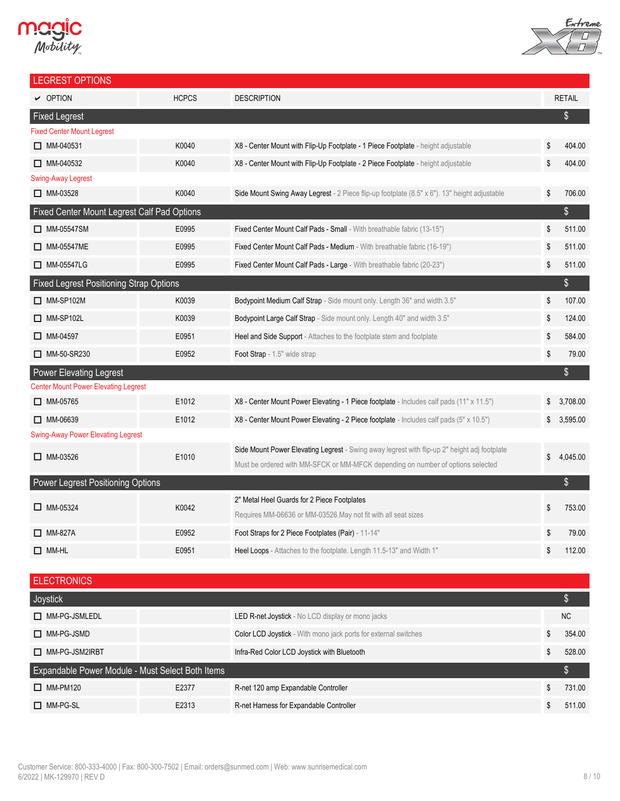# **Magic**<br>Mobility



| <b>LEGREST OPTIONS</b>                         |              |                                                                                                                                                                                 |                |
|------------------------------------------------|--------------|---------------------------------------------------------------------------------------------------------------------------------------------------------------------------------|----------------|
| $\triangleright$ OPTION                        | <b>HCPCS</b> | <b>DESCRIPTION</b>                                                                                                                                                              | <b>RETAIL</b>  |
| <b>Fixed Legrest</b>                           |              |                                                                                                                                                                                 | $\frac{1}{2}$  |
| <b>Fixed Center Mount Legrest</b>              |              |                                                                                                                                                                                 |                |
| $\Box$ MM-040531                               | K0040        | X8 - Center Mount with Flip-Up Footplate - 1 Piece Footplate - height adjustable                                                                                                | \$<br>404.00   |
| $\Box$ MM-040532                               | K0040        | X8 - Center Mount with Flip-Up Footplate - 2 Piece Footplate - height adjustable                                                                                                | \$<br>404.00   |
| <b>Swing-Away Legrest</b>                      |              |                                                                                                                                                                                 |                |
| $\Box$ MM-03528                                | K0040        | Side Mount Swing Away Legrest - 2 Piece flip-up footplate (8.5" x 6"). 13" height adjustable                                                                                    | \$<br>706.00   |
| Fixed Center Mount Legrest Calf Pad Options    |              |                                                                                                                                                                                 | \$             |
| $\Box$ MM-05547SM                              | E0995        | Fixed Center Mount Calf Pads - Small - With breathable fabric (13-15")                                                                                                          | \$<br>511.00   |
| $\Box$ MM-05547ME                              | E0995        | Fixed Center Mount Calf Pads - Medium - With breathable fabric (16-19")                                                                                                         | \$<br>511.00   |
| □ MM-05547LG                                   | E0995        | Fixed Center Mount Calf Pads - Large - With breathable fabric (20-23")                                                                                                          | \$<br>511.00   |
| <b>Fixed Legrest Positioning Strap Options</b> |              |                                                                                                                                                                                 | $\frac{1}{2}$  |
| $\Box$ MM-SP102M                               | K0039        | Bodypoint Medium Calf Strap - Side mount only. Length 36" and width 3.5"                                                                                                        | \$<br>107.00   |
| $\Box$ MM-SP102L                               | K0039        | Bodypoint Large Calf Strap - Side mount only. Length 40" and width 3.5"                                                                                                         | \$<br>124.00   |
| $\Box$ MM-04597                                | E0951        | Heel and Side Support - Attaches to the footplate stem and footplate                                                                                                            | \$<br>584.00   |
| MM-50-SR230                                    | E0952        | Foot Strap - 1.5" wide strap                                                                                                                                                    | \$<br>79.00    |
| <b>Power Elevating Legrest</b>                 |              |                                                                                                                                                                                 | \$             |
| <b>Center Mount Power Elevating Legrest</b>    |              |                                                                                                                                                                                 |                |
| $\Box$ MM-05765                                | E1012        | X8 - Center Mount Power Elevating - 1 Piece footplate - Includes calf pads (11" x 11.5")                                                                                        | 3,708.00       |
| $\Box$ MM-06639                                | E1012        | X8 - Center Mount Power Elevating - 2 Piece footplate - Includes calf pads (5" x 10.5")                                                                                         | \$<br>3,595.00 |
| <b>Swing-Away Power Elevating Legrest</b>      |              |                                                                                                                                                                                 |                |
| $\Box$ MM-03526                                | E1010        | Side Mount Power Elevating Legrest - Swing away legrest with flip-up 2" height adj footplate<br>Must be ordered with MM-SFCK or MM-MFCK depending on number of options selected | \$<br>4,045.00 |
| Power Legrest Positioning Options              |              |                                                                                                                                                                                 | \$             |
|                                                |              | 2" Metal Heel Guards for 2 Piece Footplates                                                                                                                                     |                |
| $\Box$ MM-05324                                | K0042        | Requires MM-06636 or MM-03526. May not fit with all seat sizes                                                                                                                  | \$<br>753.00   |
| $\Box$ MM-827A                                 | E0952        | Foot Straps for 2 Piece Footplates (Pair) - 11-14"                                                                                                                              | \$<br>79.00    |
| $\Box$ MM-HL                                   | E0951        | Heel Loops - Attaches to the footplate. Length 11.5-13" and Width 1"                                                                                                            | \$<br>112.00   |
|                                                |              |                                                                                                                                                                                 |                |
| <b>ELECTRONICS</b>                             |              |                                                                                                                                                                                 |                |

| Joystick                                         |       |                                                                        |    |           |
|--------------------------------------------------|-------|------------------------------------------------------------------------|----|-----------|
| MM-PG-JSMLEDL                                    |       | <b>LED R-net Joystick</b> - No LCD display or mono jacks               |    | <b>NC</b> |
| $\Box$ MM-PG-JSMD                                |       | <b>Color LCD Joystick</b> - With mono jack ports for external switches | S. | 354.00    |
| MM-PG-JSM2IRBT                                   |       | Infra-Red Color LCD Joystick with Bluetooth                            | \$ | 528.00    |
| Expandable Power Module - Must Select Both Items |       |                                                                        |    |           |
| $\Box$ MM-PM120                                  | E2377 | R-net 120 amp Expandable Controller                                    | \$ | 731.00    |
| $\Box$ MM-PG-SL                                  | E2313 | R-net Harness for Expandable Controller                                |    | 511 00    |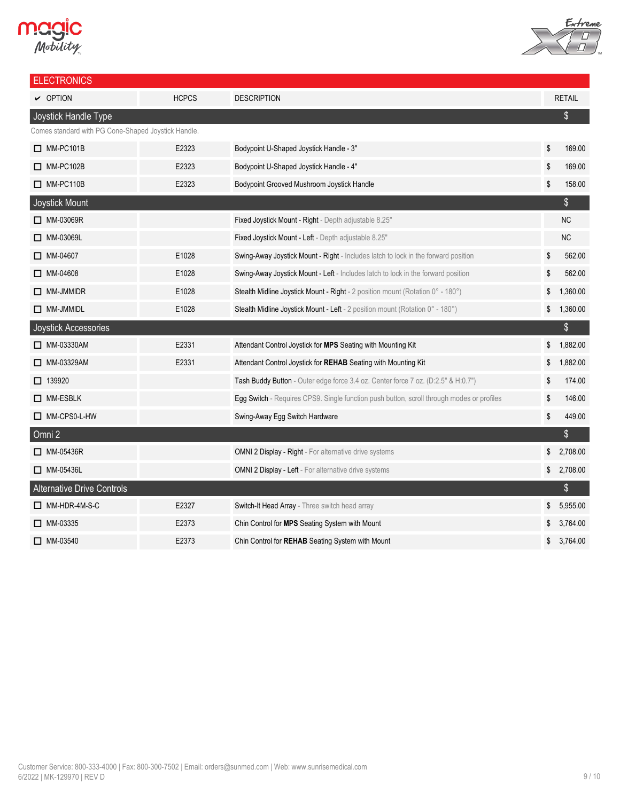# **Magic**<br>Mobility



| <b>ELECTRONICS</b>                                  |              |                                                                                           |    |               |
|-----------------------------------------------------|--------------|-------------------------------------------------------------------------------------------|----|---------------|
| $\sim$ OPTION                                       | <b>HCPCS</b> | <b>DESCRIPTION</b>                                                                        |    | <b>RETAIL</b> |
| Joystick Handle Type                                |              |                                                                                           |    | $\frac{1}{2}$ |
| Comes standard with PG Cone-Shaped Joystick Handle. |              |                                                                                           |    |               |
| $\Box$ MM-PC101B                                    | E2323        | Bodypoint U-Shaped Joystick Handle - 3"                                                   | \$ | 169.00        |
| $\Box$ MM-PC102B                                    | E2323        | Bodypoint U-Shaped Joystick Handle - 4"                                                   | \$ | 169.00        |
| $\Box$ MM-PC110B                                    | E2323        | Bodypoint Grooved Mushroom Joystick Handle                                                | \$ | 158.00        |
| Joystick Mount                                      |              |                                                                                           |    | \$            |
| □ MM-03069R                                         |              | Fixed Joystick Mount - Right - Depth adjustable 8.25"                                     |    | NC            |
| MM-03069L                                           |              | Fixed Joystick Mount - Left - Depth adjustable 8.25"                                      |    | NC            |
| $\Box$ MM-04607                                     | E1028        | Swing-Away Joystick Mount - Right - Includes latch to lock in the forward position        | \$ | 562.00        |
| $\Box$ MM-04608                                     | E1028        | Swing-Away Joystick Mount - Left - Includes latch to lock in the forward position         | S  | 562.00        |
| $\Box$ MM-JMMIDR                                    | E1028        | Stealth Midline Joystick Mount - Right - 2 position mount (Rotation 0° - 180°)            | \$ | 1,360.00      |
| $\Box$ MM-JMMIDL                                    | E1028        | Stealth Midline Joystick Mount - Left - 2 position mount (Rotation 0° - 180°)             | \$ | 1,360.00      |
| Joystick Accessories                                |              |                                                                                           |    | \$            |
| □ MM-03330AM                                        | E2331        | Attendant Control Joystick for MPS Seating with Mounting Kit                              | \$ | 1,882.00      |
| □ MM-03329AM                                        | E2331        | Attendant Control Joystick for REHAB Seating with Mounting Kit                            | \$ | 1,882.00      |
| $\Box$ 139920                                       |              | Tash Buddy Button - Outer edge force 3.4 oz. Center force 7 oz. (D:2.5" & H:0.7")         | \$ | 174.00        |
| $\Box$ MM-ESBLK                                     |              | Egg Switch - Requires CPS9. Single function push button, scroll through modes or profiles | \$ | 146.00        |
| MM-CPS0-L-HW                                        |              | Swing-Away Egg Switch Hardware                                                            | \$ | 449.00        |
| Omni 2                                              |              |                                                                                           |    | $\frac{1}{2}$ |
| $\Box$ MM-05436R                                    |              | OMNI 2 Display - Right - For alternative drive systems                                    |    | \$2,708.00    |
| $\Box$ MM-05436L                                    |              | <b>OMNI 2 Display - Left - For alternative drive systems</b>                              | \$ | 2,708.00      |
| <b>Alternative Drive Controls</b>                   |              |                                                                                           |    | \$            |
| $\Box$ MM-HDR-4M-S-C                                | E2327        | Switch-It Head Array - Three switch head array                                            | \$ | 5,955.00      |
| $\Box$ MM-03335                                     | E2373        | Chin Control for <b>MPS</b> Seating System with Mount                                     |    | 3,764.00      |
| $\Box$ MM-03540                                     | E2373        | Chin Control for REHAB Seating System with Mount                                          | \$ | 3,764.00      |